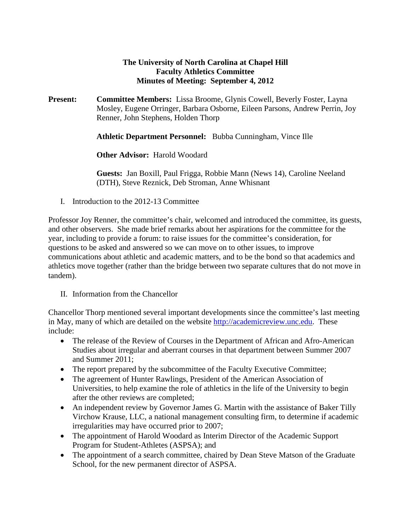## **The University of North Carolina at Chapel Hill Faculty Athletics Committee Minutes of Meeting: September 4, 2012**

**Present: Committee Members:** Lissa Broome, Glynis Cowell, Beverly Foster, Layna Mosley, Eugene Orringer, Barbara Osborne, Eileen Parsons, Andrew Perrin, Joy Renner, John Stephens, Holden Thorp

**Athletic Department Personnel:** Bubba Cunningham, Vince Ille

**Other Advisor:** Harold Woodard

**Guests:** Jan Boxill, Paul Frigga, Robbie Mann (News 14), Caroline Neeland (DTH), Steve Reznick, Deb Stroman, Anne Whisnant

I. Introduction to the 2012-13 Committee

Professor Joy Renner, the committee's chair, welcomed and introduced the committee, its guests, and other observers. She made brief remarks about her aspirations for the committee for the year, including to provide a forum: to raise issues for the committee's consideration, for questions to be asked and answered so we can move on to other issues, to improve communications about athletic and academic matters, and to be the bond so that academics and athletics move together (rather than the bridge between two separate cultures that do not move in tandem).

II. Information from the Chancellor

Chancellor Thorp mentioned several important developments since the committee's last meeting in May, many of which are detailed on the website [http://academicreview.unc.edu.](http://academicreview.unc.edu/) These include:

- The release of the Review of Courses in the Department of African and Afro-American Studies about irregular and aberrant courses in that department between Summer 2007 and Summer 2011;
- The report prepared by the subcommittee of the Faculty Executive Committee;
- The agreement of Hunter Rawlings, President of the American Association of Universities, to help examine the role of athletics in the life of the University to begin after the other reviews are completed;
- An independent review by Governor James G. Martin with the assistance of Baker Tilly Virchow Krause, LLC, a national management consulting firm, to determine if academic irregularities may have occurred prior to 2007;
- The appointment of Harold Woodard as Interim Director of the Academic Support Program for Student-Athletes (ASPSA); and
- The appointment of a search committee, chaired by Dean Steve Matson of the Graduate School, for the new permanent director of ASPSA.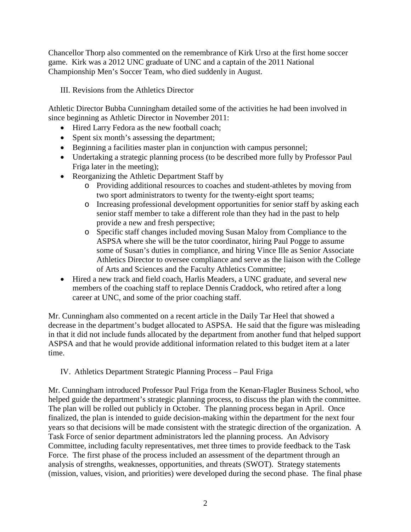Chancellor Thorp also commented on the remembrance of Kirk Urso at the first home soccer game. Kirk was a 2012 UNC graduate of UNC and a captain of the 2011 National Championship Men's Soccer Team, who died suddenly in August.

III. Revisions from the Athletics Director

Athletic Director Bubba Cunningham detailed some of the activities he had been involved in since beginning as Athletic Director in November 2011:

- Hired Larry Fedora as the new football coach;
- Spent six month's assessing the department;
- Beginning a facilities master plan in conjunction with campus personnel;
- Undertaking a strategic planning process (to be described more fully by Professor Paul Friga later in the meeting);
- Reorganizing the Athletic Department Staff by
	- o Providing additional resources to coaches and student-athletes by moving from two sport administrators to twenty for the twenty-eight sport teams;
	- o Increasing professional development opportunities for senior staff by asking each senior staff member to take a different role than they had in the past to help provide a new and fresh perspective;
	- o Specific staff changes included moving Susan Maloy from Compliance to the ASPSA where she will be the tutor coordinator, hiring Paul Pogge to assume some of Susan's duties in compliance, and hiring Vince Ille as Senior Associate Athletics Director to oversee compliance and serve as the liaison with the College of Arts and Sciences and the Faculty Athletics Committee;
- Hired a new track and field coach, Harlis Meaders, a UNC graduate, and several new members of the coaching staff to replace Dennis Craddock, who retired after a long career at UNC, and some of the prior coaching staff.

Mr. Cunningham also commented on a recent article in the Daily Tar Heel that showed a decrease in the department's budget allocated to ASPSA. He said that the figure was misleading in that it did not include funds allocated by the department from another fund that helped support ASPSA and that he would provide additional information related to this budget item at a later time.

IV. Athletics Department Strategic Planning Process – Paul Friga

Mr. Cunningham introduced Professor Paul Friga from the Kenan-Flagler Business School, who helped guide the department's strategic planning process, to discuss the plan with the committee. The plan will be rolled out publicly in October. The planning process began in April. Once finalized, the plan is intended to guide decision-making within the department for the next four years so that decisions will be made consistent with the strategic direction of the organization. A Task Force of senior department administrators led the planning process. An Advisory Committee, including faculty representatives, met three times to provide feedback to the Task Force. The first phase of the process included an assessment of the department through an analysis of strengths, weaknesses, opportunities, and threats (SWOT). Strategy statements (mission, values, vision, and priorities) were developed during the second phase. The final phase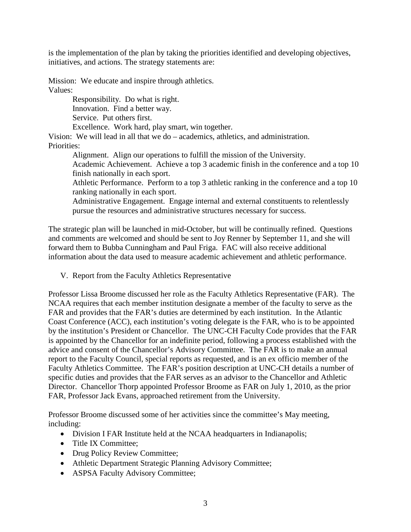is the implementation of the plan by taking the priorities identified and developing objectives, initiatives, and actions. The strategy statements are:

Mission: We educate and inspire through athletics. Values:

> Responsibility. Do what is right. Innovation. Find a better way. Service. Put others first.

Excellence. Work hard, play smart, win together.

Vision: We will lead in all that we do – academics, athletics, and administration. Priorities:

Alignment. Align our operations to fulfill the mission of the University.

Academic Achievement. Achieve a top 3 academic finish in the conference and a top 10 finish nationally in each sport.

Athletic Performance. Perform to a top 3 athletic ranking in the conference and a top 10 ranking nationally in each sport.

Administrative Engagement. Engage internal and external constituents to relentlessly pursue the resources and administrative structures necessary for success.

The strategic plan will be launched in mid-October, but will be continually refined. Questions and comments are welcomed and should be sent to Joy Renner by September 11, and she will forward them to Bubba Cunningham and Paul Friga. FAC will also receive additional information about the data used to measure academic achievement and athletic performance.

V. Report from the Faculty Athletics Representative

Professor Lissa Broome discussed her role as the Faculty Athletics Representative (FAR). The NCAA requires that each member institution designate a member of the faculty to serve as the FAR and provides that the FAR's duties are determined by each institution. In the Atlantic Coast Conference (ACC), each institution's voting delegate is the FAR, who is to be appointed by the institution's President or Chancellor. The UNC-CH Faculty Code provides that the FAR is appointed by the Chancellor for an indefinite period, following a process established with the advice and consent of the Chancellor's Advisory Committee. The FAR is to make an annual report to the Faculty Council, special reports as requested, and is an ex officio member of the Faculty Athletics Committee. The FAR's position description at UNC-CH details a number of specific duties and provides that the FAR serves as an advisor to the Chancellor and Athletic Director. Chancellor Thorp appointed Professor Broome as FAR on July 1, 2010, as the prior FAR, Professor Jack Evans, approached retirement from the University.

Professor Broome discussed some of her activities since the committee's May meeting, including:

- Division I FAR Institute held at the NCAA headquarters in Indianapolis;
- Title IX Committee;
- Drug Policy Review Committee;
- Athletic Department Strategic Planning Advisory Committee;
- ASPSA Faculty Advisory Committee;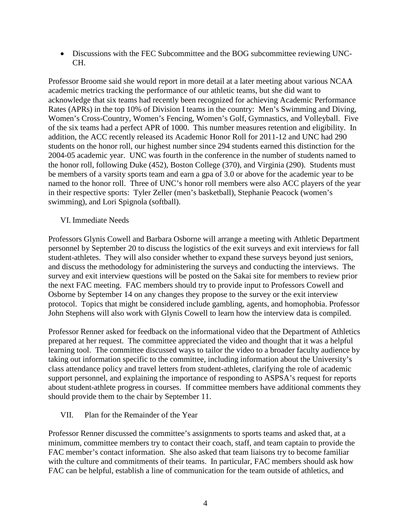• Discussions with the FEC Subcommittee and the BOG subcommittee reviewing UNC-CH.

Professor Broome said she would report in more detail at a later meeting about various NCAA academic metrics tracking the performance of our athletic teams, but she did want to acknowledge that six teams had recently been recognized for achieving Academic Performance Rates (APRs) in the top 10% of Division I teams in the country: Men's Swimming and Diving, Women's Cross-Country, Women's Fencing, Women's Golf, Gymnastics, and Volleyball. Five of the six teams had a perfect APR of 1000. This number measures retention and eligibility. In addition, the ACC recently released its Academic Honor Roll for 2011-12 and UNC had 290 students on the honor roll, our highest number since 294 students earned this distinction for the 2004-05 academic year. UNC was fourth in the conference in the number of students named to the honor roll, following Duke (452), Boston College (370), and Virginia (290). Students must be members of a varsity sports team and earn a gpa of 3.0 or above for the academic year to be named to the honor roll. Three of UNC's honor roll members were also ACC players of the year in their respective sports: Tyler Zeller (men's basketball), Stephanie Peacock (women's swimming), and Lori Spignola (softball).

## VI. Immediate Needs

Professors Glynis Cowell and Barbara Osborne will arrange a meeting with Athletic Department personnel by September 20 to discuss the logistics of the exit surveys and exit interviews for fall student-athletes. They will also consider whether to expand these surveys beyond just seniors, and discuss the methodology for administering the surveys and conducting the interviews. The survey and exit interview questions will be posted on the Sakai site for members to review prior the next FAC meeting. FAC members should try to provide input to Professors Cowell and Osborne by September 14 on any changes they propose to the survey or the exit interview protocol. Topics that might be considered include gambling, agents, and homophobia. Professor John Stephens will also work with Glynis Cowell to learn how the interview data is compiled.

Professor Renner asked for feedback on the informational video that the Department of Athletics prepared at her request. The committee appreciated the video and thought that it was a helpful learning tool. The committee discussed ways to tailor the video to a broader faculty audience by taking out information specific to the committee, including information about the University's class attendance policy and travel letters from student-athletes, clarifying the role of academic support personnel, and explaining the importance of responding to ASPSA's request for reports about student-athlete progress in courses. If committee members have additional comments they should provide them to the chair by September 11.

## VII. Plan for the Remainder of the Year

Professor Renner discussed the committee's assignments to sports teams and asked that, at a minimum, committee members try to contact their coach, staff, and team captain to provide the FAC member's contact information. She also asked that team liaisons try to become familiar with the culture and commitments of their teams. In particular, FAC members should ask how FAC can be helpful, establish a line of communication for the team outside of athletics, and